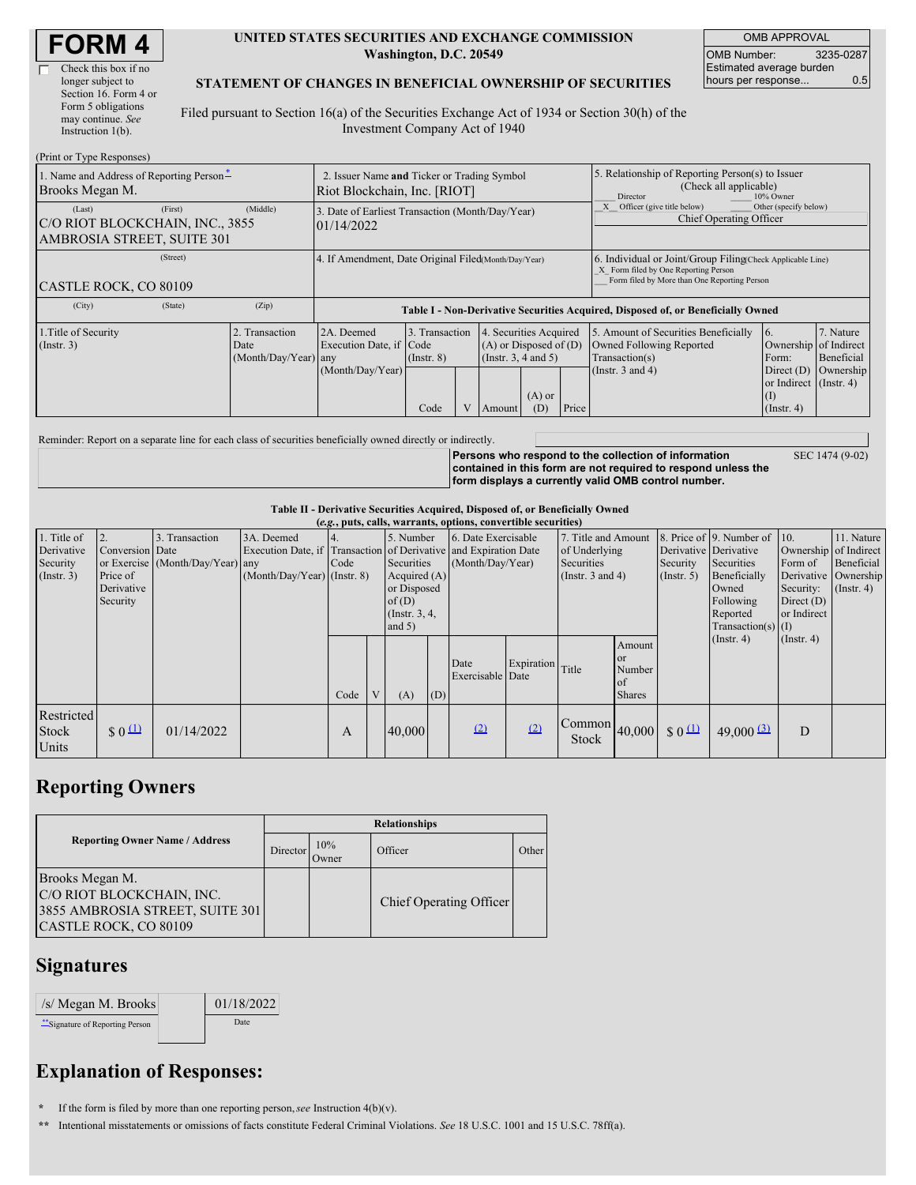| <b>FORM 4</b> |  |
|---------------|--|
|---------------|--|

 $(Print or True  $Dao$ )$ 

#### **UNITED STATES SECURITIES AND EXCHANGE COMMISSION Washington, D.C. 20549**

OMB APPROVAL OMB Number: 3235-0287 Estimated average burden hours per response... 0.5

### **STATEMENT OF CHANGES IN BENEFICIAL OWNERSHIP OF SECURITIES**

Filed pursuant to Section 16(a) of the Securities Exchange Act of 1934 or Section 30(h) of the Investment Company Act of 1940

| $(1 \text{ min of 1 ypc respectively})$<br>1. Name and Address of Reporting Person-<br>Brooks Megan M. | 2. Issuer Name and Ticker or Trading Symbol<br>Riot Blockchain, Inc. [RIOT] |                                                                                  |                                           |                |                                                                                        | 5. Relationship of Reporting Person(s) to Issuer<br>(Check all applicable)<br>10% Owner<br>Director |                                                                                                                                                    |                                                                                                             |                                                                                                           |                                      |
|--------------------------------------------------------------------------------------------------------|-----------------------------------------------------------------------------|----------------------------------------------------------------------------------|-------------------------------------------|----------------|----------------------------------------------------------------------------------------|-----------------------------------------------------------------------------------------------------|----------------------------------------------------------------------------------------------------------------------------------------------------|-------------------------------------------------------------------------------------------------------------|-----------------------------------------------------------------------------------------------------------|--------------------------------------|
| (First)<br>(Last)<br>C/O RIOT BLOCKCHAIN, INC., 3855<br>AMBROSIA STREET, SUITE 301                     | (Middle)                                                                    | 3. Date of Earliest Transaction (Month/Day/Year)<br>01/14/2022                   |                                           |                |                                                                                        |                                                                                                     | Other (specify below)<br>Officer (give title below)<br>Chief Operating Officer                                                                     |                                                                                                             |                                                                                                           |                                      |
| (Street)<br>CASTLE ROCK, CO 80109                                                                      | 4. If Amendment, Date Original Filed(Month/Day/Year)                        |                                                                                  |                                           |                |                                                                                        |                                                                                                     | 6. Individual or Joint/Group Filing Check Applicable Line)<br>X Form filed by One Reporting Person<br>Form filed by More than One Reporting Person |                                                                                                             |                                                                                                           |                                      |
| (City)<br>(State)                                                                                      | (Zip)                                                                       | Table I - Non-Derivative Securities Acquired, Disposed of, or Beneficially Owned |                                           |                |                                                                                        |                                                                                                     |                                                                                                                                                    |                                                                                                             |                                                                                                           |                                      |
| 1. Title of Security<br>$($ Instr. 3 $)$                                                               | 2. Transaction<br>Date<br>(Month/Day/Year) any                              | 2A. Deemed<br>Execution Date, if Code<br>(Month/Day/Year)                        | 3. Transaction<br>$($ Instr. $8)$<br>Code | $\overline{V}$ | 4. Securities Acquired<br>$(A)$ or Disposed of $(D)$<br>(Insert. 3, 4 and 5)<br>Amount | $(A)$ or<br>(D)                                                                                     | Price                                                                                                                                              | 5. Amount of Securities Beneficially<br>Owned Following Reported<br>Transaction(s)<br>(Instr. $3$ and $4$ ) | 6.<br>Ownership of Indirect<br>Form:<br>Direct $(D)$<br>or Indirect (Instr. 4)<br>(I)<br>$($ Instr. 4 $)$ | 7. Nature<br>Beneficial<br>Ownership |

Reminder: Report on a separate line for each class of securities beneficially owned directly or indirectly.

**Persons who respond to the collection of information contained in this form are not required to respond unless the form displays a currently valid OMB control number.**

SEC 1474 (9-02)

### **Table II - Derivative Securities Acquired, Disposed of, or Beneficially Owned**

| (e.g., puts, calls, warrants, options, convertible securities) |                 |                                  |                                                                  |      |              |                  |     |                     |                  |                                                                                                                                                                                                                                                                                                                                                                                                                                                                                   |               |                  |                              |                  |                       |
|----------------------------------------------------------------|-----------------|----------------------------------|------------------------------------------------------------------|------|--------------|------------------|-----|---------------------|------------------|-----------------------------------------------------------------------------------------------------------------------------------------------------------------------------------------------------------------------------------------------------------------------------------------------------------------------------------------------------------------------------------------------------------------------------------------------------------------------------------|---------------|------------------|------------------------------|------------------|-----------------------|
| 1. Title of                                                    |                 | 3. Transaction                   | 3A. Deemed                                                       |      |              | 5. Number        |     | 6. Date Exercisable |                  | 7. Title and Amount                                                                                                                                                                                                                                                                                                                                                                                                                                                               |               |                  | 8. Price of 9. Number of 10. |                  | 11. Nature            |
| Derivative                                                     | Conversion Date |                                  | Execution Date, if Transaction of Derivative and Expiration Date |      |              |                  |     |                     |                  | of Underlying                                                                                                                                                                                                                                                                                                                                                                                                                                                                     |               |                  | Derivative Derivative        |                  | Ownership of Indirect |
| Security                                                       |                 | or Exercise (Month/Day/Year) any |                                                                  | Code |              | Securities       |     | (Month/Day/Year)    |                  | Securities                                                                                                                                                                                                                                                                                                                                                                                                                                                                        |               | Security         | Securities                   | Form of          | Beneficial            |
| (Insert. 3)                                                    | Price of        |                                  | $(Month/Day/Year)$ (Instr. 8)                                    |      |              | Acquired $(A)$   |     |                     |                  | (Instr. $3$ and $4$ )                                                                                                                                                                                                                                                                                                                                                                                                                                                             |               | $($ Instr. 5 $)$ | Beneficially                 |                  | Derivative Ownership  |
|                                                                | Derivative      |                                  |                                                                  |      |              | or Disposed      |     |                     |                  |                                                                                                                                                                                                                                                                                                                                                                                                                                                                                   |               |                  | Owned                        | Security:        | $($ Instr. 4)         |
|                                                                | Security        |                                  |                                                                  |      |              | of(D)            |     |                     |                  |                                                                                                                                                                                                                                                                                                                                                                                                                                                                                   |               |                  | Following                    | Direct $(D)$     |                       |
|                                                                |                 |                                  |                                                                  |      |              | $($ Instr. 3, 4, |     |                     |                  |                                                                                                                                                                                                                                                                                                                                                                                                                                                                                   |               |                  | Reported                     | or Indirect      |                       |
|                                                                |                 |                                  |                                                                  |      |              | and $5)$         |     |                     |                  |                                                                                                                                                                                                                                                                                                                                                                                                                                                                                   |               |                  | $Transaction(s)$ (I)         |                  |                       |
|                                                                |                 |                                  |                                                                  |      |              |                  |     |                     |                  |                                                                                                                                                                                                                                                                                                                                                                                                                                                                                   |               |                  | $($ Instr. 4 $)$             | $($ Instr. 4 $)$ |                       |
|                                                                |                 |                                  |                                                                  |      |              |                  |     |                     |                  |                                                                                                                                                                                                                                                                                                                                                                                                                                                                                   | Amount        |                  |                              |                  |                       |
|                                                                |                 |                                  |                                                                  |      |              |                  |     | Date                | Expiration Title |                                                                                                                                                                                                                                                                                                                                                                                                                                                                                   | <b>or</b>     |                  |                              |                  |                       |
|                                                                |                 |                                  |                                                                  |      |              |                  |     | Exercisable Date    |                  |                                                                                                                                                                                                                                                                                                                                                                                                                                                                                   | Number        |                  |                              |                  |                       |
|                                                                |                 |                                  |                                                                  |      |              |                  |     |                     |                  |                                                                                                                                                                                                                                                                                                                                                                                                                                                                                   | <sub>of</sub> |                  |                              |                  |                       |
|                                                                |                 |                                  |                                                                  | Code | $\mathbf{V}$ | (A)              | (D) |                     |                  |                                                                                                                                                                                                                                                                                                                                                                                                                                                                                   | <b>Shares</b> |                  |                              |                  |                       |
| Restricted<br><b>Stock</b><br>Units                            | $\frac{1}{2}0$  | 01/14/2022                       |                                                                  | A    |              | 40,000           |     | (2)                 | (2)              | $\begin{array}{ c c c c c }\n\hline\n\text{Common} & 40,000 & 0 & 0 & \text{if } & \text{if } & \text{if } & \text{if } & \text{if } & \text{if } & \text{if } & \text{if } & \text{if } & \text{if } & \text{if } & \text{if } & \text{if } & \text{if } & \text{if } & \text{if } & \text{if } & \text{if } & \text{if } & \text{if } & \text{if } & \text{if } & \text{if } & \text{if } & \text{if } & \text{if } & \text{if } & \text{if } & \text{if } & \text{if$<br>Stock |               |                  | $49,000$ $(3)$               | D                |                       |

## **Reporting Owners**

|                                                                                                          | <b>Relationships</b> |              |                         |       |  |  |  |  |
|----------------------------------------------------------------------------------------------------------|----------------------|--------------|-------------------------|-------|--|--|--|--|
| <b>Reporting Owner Name / Address</b>                                                                    | Director             | 10%<br>Owner | Officer                 | Other |  |  |  |  |
| Brooks Megan M.<br>C/O RIOT BLOCKCHAIN, INC.<br>3855 AMBROSIA STREET, SUITE 301<br>CASTLE ROCK, CO 80109 |                      |              | Chief Operating Officer |       |  |  |  |  |

### **Signatures**

| /s/ Megan M. Brooks            | 01/18/2022 |
|--------------------------------|------------|
| -Signature of Reporting Person | Date       |

# **Explanation of Responses:**

**\*** If the form is filed by more than one reporting person,*see* Instruction 4(b)(v).

**\*\*** Intentional misstatements or omissions of facts constitute Federal Criminal Violations. *See* 18 U.S.C. 1001 and 15 U.S.C. 78ff(a).